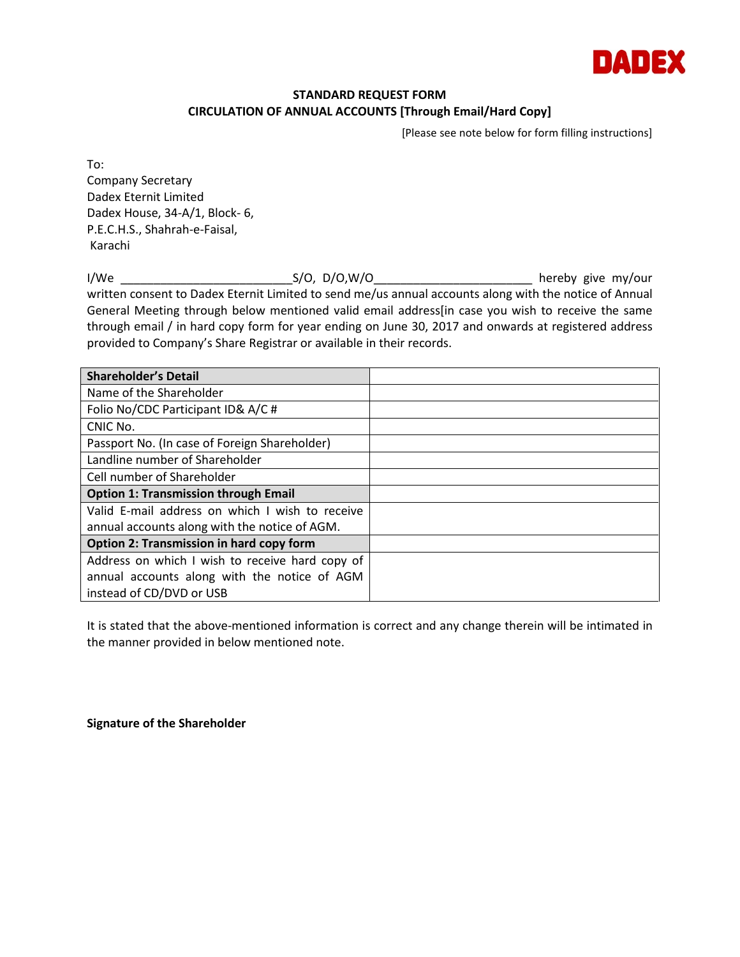

## **STANDARD REQUEST FORM CIRCULATION OF ANNUAL ACCOUNTS [Through Email/Hard Copy]**

[Please see note below for form filling instructions]

To: Company Secretary Dadex Eternit Limited Dadex House, 34-A/1, Block- 6, P.E.C.H.S., Shahrah-e-Faisal, Karachi

I/We \_\_\_\_\_\_\_\_\_\_\_\_\_\_\_\_\_\_\_\_\_\_\_\_\_\_S/O, D/O,W/O\_\_\_\_\_\_\_\_\_\_\_\_\_\_\_\_\_\_\_\_\_\_\_\_ hereby give my/our written consent to Dadex Eternit Limited to send me/us annual accounts along with the notice of Annual General Meeting through below mentioned valid email address[in case you wish to receive the same through email / in hard copy form for year ending on June 30, 2017 and onwards at registered address provided to Company's Share Registrar or available in their records.

| <b>Shareholder's Detail</b>                     |  |
|-------------------------------------------------|--|
| Name of the Shareholder                         |  |
| Folio No/CDC Participant ID& A/C#               |  |
| CNIC No.                                        |  |
| Passport No. (In case of Foreign Shareholder)   |  |
| Landline number of Shareholder                  |  |
| Cell number of Shareholder                      |  |
| <b>Option 1: Transmission through Email</b>     |  |
| Valid E-mail address on which I wish to receive |  |
| annual accounts along with the notice of AGM.   |  |
| <b>Option 2: Transmission in hard copy form</b> |  |
| Address on which I wish to receive hard copy of |  |
| annual accounts along with the notice of AGM    |  |
| instead of CD/DVD or USB                        |  |

It is stated that the above-mentioned information is correct and any change therein will be intimated in the manner provided in below mentioned note.

**Signature of the Shareholder**